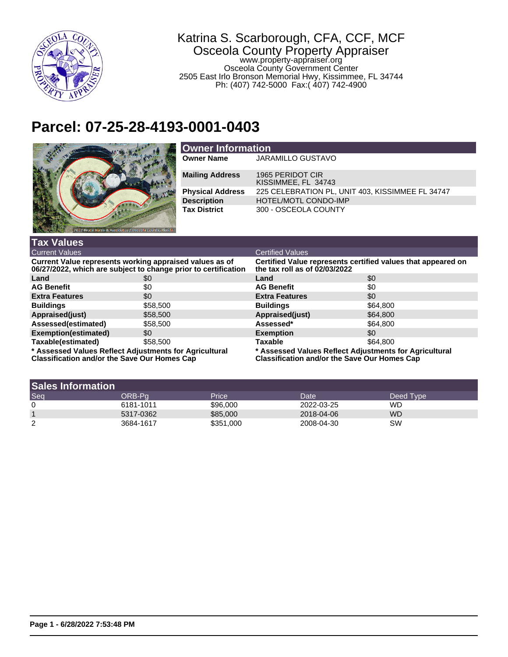

## Katrina S. Scarborough, CFA, CCF, MCF Osceola County Property Appraiser www.property-appraiser.org Osceola County Government Center

2505 East Irlo Bronson Memorial Hwy, Kissimmee, FL 34744 Ph: (407) 742-5000 Fax:( 407) 742-4900

## **Parcel: 07-25-28-4193-0001-0403**



| <b>Owner Information</b> |                                                  |  |  |
|--------------------------|--------------------------------------------------|--|--|
| <b>Owner Name</b>        | <b>JARAMILLO GUSTAVO</b>                         |  |  |
| <b>Mailing Address</b>   | 1965 PERIDOT CIR<br>KISSIMMEE, FL 34743          |  |  |
| <b>Physical Address</b>  | 225 CELEBRATION PL, UNIT 403, KISSIMMEE FL 34747 |  |  |
| <b>Description</b>       | <b>HOTEL/MOTL CONDO-IMP</b>                      |  |  |
| <b>Tax District</b>      | 300 - OSCEOLA COUNTY                             |  |  |

| <b>Tax Values</b>                                                                                                         |          |                                                                                                               |          |  |
|---------------------------------------------------------------------------------------------------------------------------|----------|---------------------------------------------------------------------------------------------------------------|----------|--|
| <b>Current Values</b>                                                                                                     |          | <b>Certified Values</b>                                                                                       |          |  |
| Current Value represents working appraised values as of<br>06/27/2022, which are subject to change prior to certification |          | Certified Value represents certified values that appeared on<br>the tax roll as of 02/03/2022                 |          |  |
| Land                                                                                                                      | \$0      | Land                                                                                                          | \$0      |  |
| <b>AG Benefit</b>                                                                                                         | \$0      | <b>AG Benefit</b>                                                                                             | \$0      |  |
| <b>Extra Features</b>                                                                                                     | \$0      | <b>Extra Features</b>                                                                                         | \$0      |  |
| <b>Buildings</b>                                                                                                          | \$58,500 | <b>Buildings</b>                                                                                              | \$64,800 |  |
| Appraised(just)                                                                                                           | \$58,500 | Appraised(just)                                                                                               | \$64,800 |  |
| Assessed(estimated)                                                                                                       | \$58,500 | Assessed*                                                                                                     | \$64,800 |  |
| <b>Exemption(estimated)</b>                                                                                               | \$0      | <b>Exemption</b>                                                                                              | \$0      |  |
| Taxable(estimated)                                                                                                        | \$58,500 | <b>Taxable</b>                                                                                                | \$64,800 |  |
| * Assessed Values Reflect Adjustments for Agricultural<br>Alexable attace and the the Assoc Assoltance Asso               |          | * Assessed Values Reflect Adjustments for Agricultural<br><u> Alexableatha an dhaithe Aana Ann Hanaca Aan</u> |          |  |

**Classification and/or the Save Our Homes Cap**

**Classification and/or the Save Our Homes Cap**

| <b>Sales Information</b> |           |           |            |             |
|--------------------------|-----------|-----------|------------|-------------|
| Seq                      | ORB-Pa    | Price     | Date       | Deed Type \ |
| 0                        | 6181-1011 | \$96,000  | 2022-03-25 | WD          |
|                          | 5317-0362 | \$85,000  | 2018-04-06 | WD          |
| 2                        | 3684-1617 | \$351,000 | 2008-04-30 | SW          |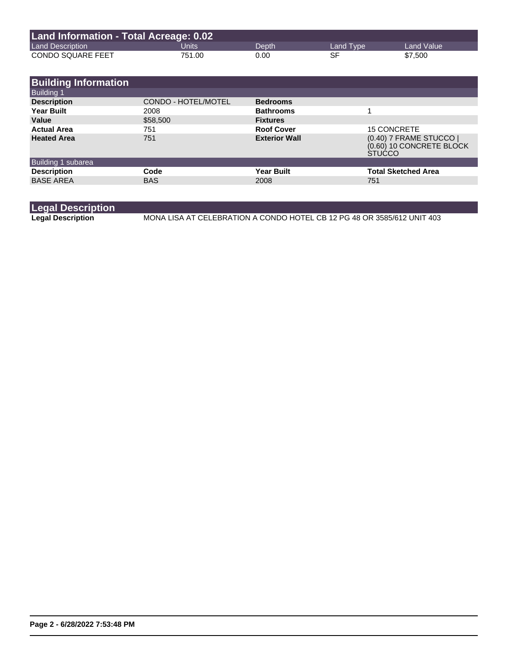| Land Information - Total Acreage: 0.02 |        |       |           |            |
|----------------------------------------|--------|-------|-----------|------------|
| <b>Land Description</b>                | Units  | Depth | Land Type | Land Value |
| <b>CONDO SQUARE FEET</b>               | 751.00 | 0.00  | SF        | \$7,500    |

| <b>Building Information</b> |                            |                      |                                                                      |
|-----------------------------|----------------------------|----------------------|----------------------------------------------------------------------|
| <b>Building 1</b>           |                            |                      |                                                                      |
| <b>Description</b>          | <b>CONDO - HOTEL/MOTEL</b> | <b>Bedrooms</b>      |                                                                      |
| <b>Year Built</b>           | 2008                       | <b>Bathrooms</b>     |                                                                      |
| Value                       | \$58,500                   | <b>Fixtures</b>      |                                                                      |
| <b>Actual Area</b>          | 751                        | <b>Roof Cover</b>    | <b>15 CONCRETE</b>                                                   |
| <b>Heated Area</b>          | 751                        | <b>Exterior Wall</b> | (0.40) 7 FRAME STUCCO  <br>(0.60) 10 CONCRETE BLOCK<br><b>STUCCO</b> |
| Building 1 subarea          |                            |                      |                                                                      |
| <b>Description</b>          | Code                       | <b>Year Built</b>    | <b>Total Sketched Area</b>                                           |
| <b>BASE AREA</b>            | <b>BAS</b>                 | 2008                 | 751                                                                  |
|                             |                            |                      |                                                                      |

|  | <b>Legal Description</b> |  |
|--|--------------------------|--|
|  | .                        |  |

Legal Description MONA LISA AT CELEBRATION A CONDO HOTEL CB 12 PG 48 OR 3585/612 UNIT 403